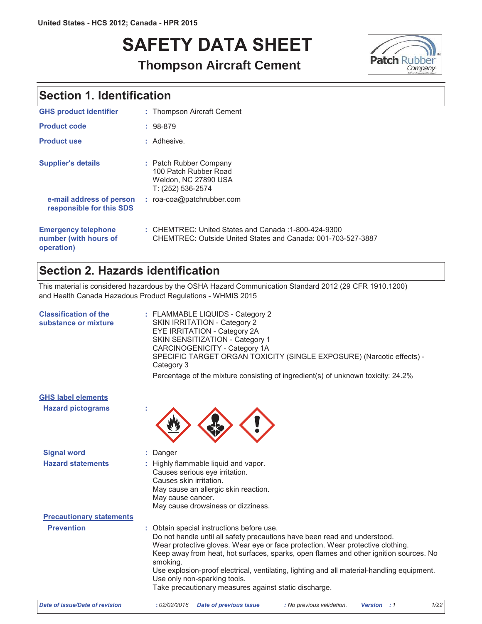# **SAFETY DATA SHEET**



### **Thompson Aircraft Cement**

### **Section 1. Identification**

| <b>GHS product identifier</b>                                     | : Thompson Aircraft Cement                                                                                           |
|-------------------------------------------------------------------|----------------------------------------------------------------------------------------------------------------------|
| <b>Product code</b>                                               | $: 98-879$                                                                                                           |
| <b>Product use</b>                                                | : Adhesive.                                                                                                          |
| <b>Supplier's details</b>                                         | : Patch Rubber Company<br>100 Patch Rubber Road<br>Weldon, NC 27890 USA<br>T: (252) 536-2574                         |
| e-mail address of person<br>responsible for this SDS              | : roa-coa@patchrubber.com                                                                                            |
| <b>Emergency telephone</b><br>number (with hours of<br>operation) | : CHEMTREC: United States and Canada: 1-800-424-9300<br>CHEMTREC: Outside United States and Canada: 001-703-527-3887 |

### Section 2. Hazards identification

This material is considered hazardous by the OSHA Hazard Communication Standard 2012 (29 CFR 1910.1200) and Health Canada Hazadous Product Regulations - WHMIS 2015

| <b>Classification of the</b><br>substance or mixture | : FLAMMABLE LIQUIDS - Category 2<br>SKIN IRRITATION - Category 2<br><b>EYE IRRITATION - Category 2A</b><br>SKIN SENSITIZATION - Category 1<br>CARCINOGENICITY - Category 1A<br>SPECIFIC TARGET ORGAN TOXICITY (SINGLE EXPOSURE) (Narcotic effects) -<br>Category 3<br>Percentage of the mixture consisting of ingredient(s) of unknown toxicity: 24.2%                                                                                                                                               |
|------------------------------------------------------|------------------------------------------------------------------------------------------------------------------------------------------------------------------------------------------------------------------------------------------------------------------------------------------------------------------------------------------------------------------------------------------------------------------------------------------------------------------------------------------------------|
| <b>GHS label elements</b>                            |                                                                                                                                                                                                                                                                                                                                                                                                                                                                                                      |
| <b>Hazard pictograms</b>                             |                                                                                                                                                                                                                                                                                                                                                                                                                                                                                                      |
| <b>Signal word</b>                                   | Danger                                                                                                                                                                                                                                                                                                                                                                                                                                                                                               |
| <b>Hazard statements</b>                             | : Highly flammable liquid and vapor.<br>Causes serious eye irritation.<br>Causes skin irritation.<br>May cause an allergic skin reaction.<br>May cause cancer.<br>May cause drowsiness or dizziness.                                                                                                                                                                                                                                                                                                 |
| <b>Precautionary statements</b>                      |                                                                                                                                                                                                                                                                                                                                                                                                                                                                                                      |
| <b>Prevention</b>                                    | : Obtain special instructions before use.<br>Do not handle until all safety precautions have been read and understood.<br>Wear protective gloves. Wear eye or face protection. Wear protective clothing.<br>Keep away from heat, hot surfaces, sparks, open flames and other ignition sources. No<br>smoking.<br>Use explosion-proof electrical, ventilating, lighting and all material-handling equipment.<br>Use only non-sparking tools.<br>Take precautionary measures against static discharge. |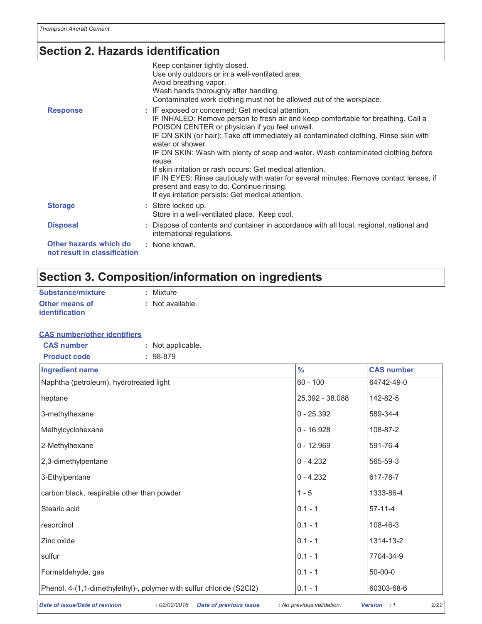## Section 2. Hazards identification

|                                                        | Keep container tightly closed.<br>Use only outdoors or in a well-ventilated area.<br>Avoid breathing vapor.<br>Wash hands thoroughly after handling.                                                                                                                                                                                                                                                                                                                                                                                                                                                     |
|--------------------------------------------------------|----------------------------------------------------------------------------------------------------------------------------------------------------------------------------------------------------------------------------------------------------------------------------------------------------------------------------------------------------------------------------------------------------------------------------------------------------------------------------------------------------------------------------------------------------------------------------------------------------------|
|                                                        | Contaminated work clothing must not be allowed out of the workplace.                                                                                                                                                                                                                                                                                                                                                                                                                                                                                                                                     |
| <b>Response</b>                                        | : IF exposed or concerned: Get medical attention.<br>IF INHALED: Remove person to fresh air and keep comfortable for breathing. Call a<br>POISON CENTER or physician if you feel unwell.<br>IF ON SKIN (or hair): Take off immediately all contaminated clothing. Rinse skin with<br>water or shower.<br>IF ON SKIN: Wash with plenty of soap and water. Wash contaminated clothing before<br>reuse.<br>If skin irritation or rash occurs: Get medical attention.<br>IF IN EYES: Rinse cautiously with water for several minutes. Remove contact lenses, if<br>present and easy to do. Continue rinsing. |
|                                                        | If eye irritation persists: Get medical attention.                                                                                                                                                                                                                                                                                                                                                                                                                                                                                                                                                       |
| <b>Storage</b>                                         | : Store locked up.<br>Store in a well-ventilated place. Keep cool.                                                                                                                                                                                                                                                                                                                                                                                                                                                                                                                                       |
| <b>Disposal</b>                                        | : Dispose of contents and container in accordance with all local, regional, national and<br>international regulations.                                                                                                                                                                                                                                                                                                                                                                                                                                                                                   |
| Other hazards which do<br>not result in classification | : None known.                                                                                                                                                                                                                                                                                                                                                                                                                                                                                                                                                                                            |

### Section 3. Composition/information on ingredients

| Substance/mixture     | : Mixture       |
|-----------------------|-----------------|
| <b>Other means of</b> | : Not available |
| <b>identification</b> |                 |

#### **CAS number/other identifiers**

| <b>CAS number</b>   | : Not applicable. |
|---------------------|-------------------|
| <b>Product code</b> | $: 98-879$        |

| <b>Ingredient name</b>                                               | $\frac{0}{0}$   | <b>CAS number</b> |
|----------------------------------------------------------------------|-----------------|-------------------|
| Naphtha (petroleum), hydrotreated light                              | $60 - 100$      | 64742-49-0        |
| heptane                                                              | 25.392 - 38.088 | 142-82-5          |
| 3-methylhexane                                                       | $0 - 25.392$    | 589-34-4          |
| Methylcyclohexane                                                    | $0 - 16.928$    | 108-87-2          |
| 2-Methylhexane                                                       | $0 - 12.969$    | 591-76-4          |
| 2,3-dimethylpentane                                                  | $0 - 4.232$     | 565-59-3          |
| 3-Ethylpentane                                                       | $0 - 4.232$     | 617-78-7          |
| carbon black, respirable other than powder                           | $1 - 5$         | 1333-86-4         |
| Stearic acid                                                         | $0.1 - 1$       | $57-11-4$         |
| resorcinol                                                           | $0.1 - 1$       | 108-46-3          |
| Zinc oxide                                                           | $0.1 - 1$       | 1314-13-2         |
| sulfur                                                               | $0.1 - 1$       | 7704-34-9         |
| Formaldehyde, gas                                                    | $0.1 - 1$       | $50 - 00 - 0$     |
| Phenol, 4-(1,1-dimethylethyl)-, polymer with sulfur chloride (S2Cl2) | $0.1 - 1$       | 60303-68-6        |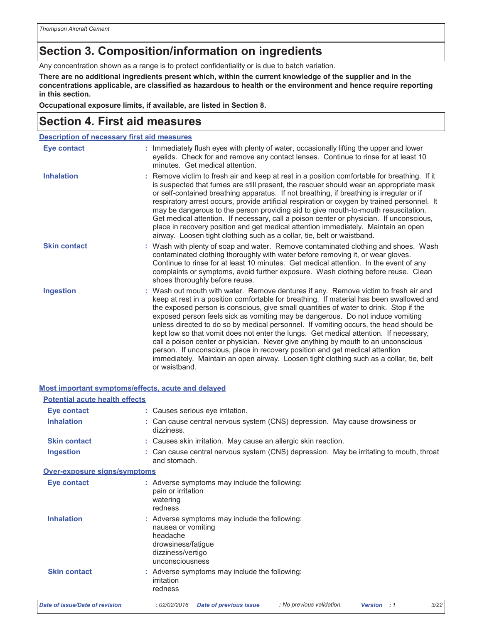### Section 3. Composition/information on ingredients

Any concentration shown as a range is to protect confidentiality or is due to batch variation.

There are no additional ingredients present which, within the current knowledge of the supplier and in the concentrations applicable, are classified as hazardous to health or the environment and hence require reporting in this section.

Occupational exposure limits, if available, are listed in Section 8.

### **Section 4. First aid measures**

| <b>Description of necessary first aid measures</b> |                                                                                                                                                                                                                                                                                                                                                                                                                                                                                                                                                                                                                                                                                                                                                                                                                               |  |
|----------------------------------------------------|-------------------------------------------------------------------------------------------------------------------------------------------------------------------------------------------------------------------------------------------------------------------------------------------------------------------------------------------------------------------------------------------------------------------------------------------------------------------------------------------------------------------------------------------------------------------------------------------------------------------------------------------------------------------------------------------------------------------------------------------------------------------------------------------------------------------------------|--|
| <b>Eye contact</b>                                 | : Immediately flush eyes with plenty of water, occasionally lifting the upper and lower<br>eyelids. Check for and remove any contact lenses. Continue to rinse for at least 10<br>minutes. Get medical attention.                                                                                                                                                                                                                                                                                                                                                                                                                                                                                                                                                                                                             |  |
| <b>Inhalation</b>                                  | : Remove victim to fresh air and keep at rest in a position comfortable for breathing. If it<br>is suspected that fumes are still present, the rescuer should wear an appropriate mask<br>or self-contained breathing apparatus. If not breathing, if breathing is irregular or if<br>respiratory arrest occurs, provide artificial respiration or oxygen by trained personnel. It<br>may be dangerous to the person providing aid to give mouth-to-mouth resuscitation.<br>Get medical attention. If necessary, call a poison center or physician. If unconscious,<br>place in recovery position and get medical attention immediately. Maintain an open<br>airway. Loosen tight clothing such as a collar, tie, belt or waistband.                                                                                          |  |
| <b>Skin contact</b>                                | : Wash with plenty of soap and water. Remove contaminated clothing and shoes. Wash<br>contaminated clothing thoroughly with water before removing it, or wear gloves.<br>Continue to rinse for at least 10 minutes. Get medical attention. In the event of any<br>complaints or symptoms, avoid further exposure. Wash clothing before reuse. Clean<br>shoes thoroughly before reuse.                                                                                                                                                                                                                                                                                                                                                                                                                                         |  |
| <b>Ingestion</b>                                   | : Wash out mouth with water. Remove dentures if any. Remove victim to fresh air and<br>keep at rest in a position comfortable for breathing. If material has been swallowed and<br>the exposed person is conscious, give small quantities of water to drink. Stop if the<br>exposed person feels sick as vomiting may be dangerous. Do not induce vomiting<br>unless directed to do so by medical personnel. If vomiting occurs, the head should be<br>kept low so that vomit does not enter the lungs. Get medical attention. If necessary,<br>call a poison center or physician. Never give anything by mouth to an unconscious<br>person. If unconscious, place in recovery position and get medical attention<br>immediately. Maintain an open airway. Loosen tight clothing such as a collar, tie, belt<br>or waistband. |  |

#### Most important symptoms/effects, acute and delayed

| <b>Potential acute health effects</b> |                                                                                                                                               |
|---------------------------------------|-----------------------------------------------------------------------------------------------------------------------------------------------|
| Eye contact                           | : Causes serious eye irritation.                                                                                                              |
| <b>Inhalation</b>                     | : Can cause central nervous system (CNS) depression. May cause drowsiness or<br>dizziness.                                                    |
| <b>Skin contact</b>                   | : Causes skin irritation. May cause an allergic skin reaction.                                                                                |
| <b>Ingestion</b>                      | : Can cause central nervous system (CNS) depression. May be irritating to mouth, throat<br>and stomach.                                       |
| Over-exposure signs/symptoms          |                                                                                                                                               |
| Eye contact                           | : Adverse symptoms may include the following:<br>pain or irritation<br>watering<br>redness                                                    |
| <b>Inhalation</b>                     | : Adverse symptoms may include the following:<br>nausea or vomiting<br>headache<br>drowsiness/fatigue<br>dizziness/vertigo<br>unconsciousness |
| <b>Skin contact</b>                   | : Adverse symptoms may include the following:<br>irritation<br>redness                                                                        |
| Date of issue/Date of revision        | : No previous validation.<br>3/22<br>: 02/02/2016<br><b>Date of previous issue</b><br><b>Version</b> : 1                                      |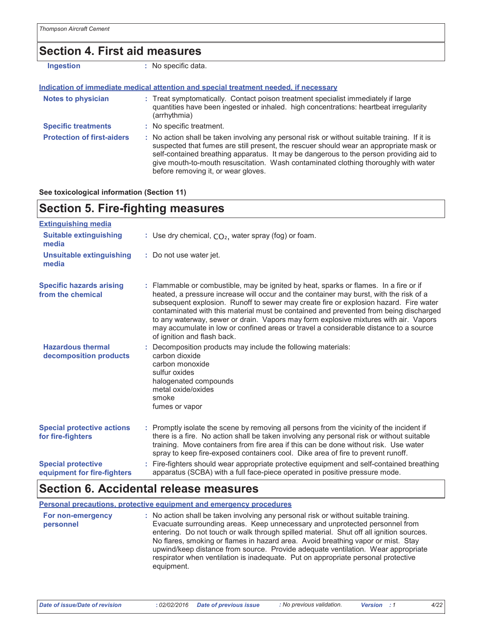### **Section 4. First aid measures**

| <b>Ingestion</b>                  | : No specific data.                                                                                                                                                                                                                                                                                                                                                                                             |
|-----------------------------------|-----------------------------------------------------------------------------------------------------------------------------------------------------------------------------------------------------------------------------------------------------------------------------------------------------------------------------------------------------------------------------------------------------------------|
|                                   | Indication of immediate medical attention and special treatment needed, if necessary                                                                                                                                                                                                                                                                                                                            |
| <b>Notes to physician</b>         | : Treat symptomatically. Contact poison treatment specialist immediately if large<br>quantities have been ingested or inhaled. high concentrations: heartbeat irregularity<br>(arrhythmia)                                                                                                                                                                                                                      |
| <b>Specific treatments</b>        | : No specific treatment.                                                                                                                                                                                                                                                                                                                                                                                        |
| <b>Protection of first-aiders</b> | : No action shall be taken involving any personal risk or without suitable training. If it is<br>suspected that fumes are still present, the rescuer should wear an appropriate mask or<br>self-contained breathing apparatus. It may be dangerous to the person providing aid to<br>give mouth-to-mouth resuscitation. Wash contaminated clothing thoroughly with water<br>before removing it, or wear gloves. |

#### See toxicological information (Section 11)

### **Section 5. Fire-fighting measures**

| <b>Extinguishing media</b>                               |                                                                                                                                                                                                                                                                                                                                                                                                                                                                                                                                                                                   |
|----------------------------------------------------------|-----------------------------------------------------------------------------------------------------------------------------------------------------------------------------------------------------------------------------------------------------------------------------------------------------------------------------------------------------------------------------------------------------------------------------------------------------------------------------------------------------------------------------------------------------------------------------------|
| <b>Suitable extinguishing</b><br>media                   | : Use dry chemical, $CO2$ , water spray (fog) or foam.                                                                                                                                                                                                                                                                                                                                                                                                                                                                                                                            |
| <b>Unsuitable extinguishing</b><br>media                 | : Do not use water jet.                                                                                                                                                                                                                                                                                                                                                                                                                                                                                                                                                           |
| <b>Specific hazards arising</b><br>from the chemical     | : Flammable or combustible, may be ignited by heat, sparks or flames. In a fire or if<br>heated, a pressure increase will occur and the container may burst, with the risk of a<br>subsequent explosion. Runoff to sewer may create fire or explosion hazard. Fire water<br>contaminated with this material must be contained and prevented from being discharged<br>to any waterway, sewer or drain. Vapors may form explosive mixtures with air. Vapors<br>may accumulate in low or confined areas or travel a considerable distance to a source<br>of ignition and flash back. |
| <b>Hazardous thermal</b><br>decomposition products       | : Decomposition products may include the following materials:<br>carbon dioxide<br>carbon monoxide<br>sulfur oxides<br>halogenated compounds<br>metal oxide/oxides<br>smoke<br>fumes or vapor                                                                                                                                                                                                                                                                                                                                                                                     |
| <b>Special protective actions</b><br>for fire-fighters   | : Promptly isolate the scene by removing all persons from the vicinity of the incident if<br>there is a fire. No action shall be taken involving any personal risk or without suitable<br>training. Move containers from fire area if this can be done without risk. Use water<br>spray to keep fire-exposed containers cool. Dike area of fire to prevent runoff.                                                                                                                                                                                                                |
| <b>Special protective</b><br>equipment for fire-fighters | : Fire-fighters should wear appropriate protective equipment and self-contained breathing<br>apparatus (SCBA) with a full face-piece operated in positive pressure mode.                                                                                                                                                                                                                                                                                                                                                                                                          |

### Section 6. Accidental release measures

Personal precautions, protective equipment and emergency procedures

| For non-emergency<br>personnel | : No action shall be taken involving any personal risk or without suitable training.<br>Evacuate surrounding areas. Keep unnecessary and unprotected personnel from<br>entering. Do not touch or walk through spilled material. Shut off all ignition sources.<br>No flares, smoking or flames in hazard area. Avoid breathing vapor or mist. Stay<br>upwind/keep distance from source. Provide adequate ventilation. Wear appropriate<br>respirator when ventilation is inadequate. Put on appropriate personal protective<br>equipment. |
|--------------------------------|-------------------------------------------------------------------------------------------------------------------------------------------------------------------------------------------------------------------------------------------------------------------------------------------------------------------------------------------------------------------------------------------------------------------------------------------------------------------------------------------------------------------------------------------|
|                                |                                                                                                                                                                                                                                                                                                                                                                                                                                                                                                                                           |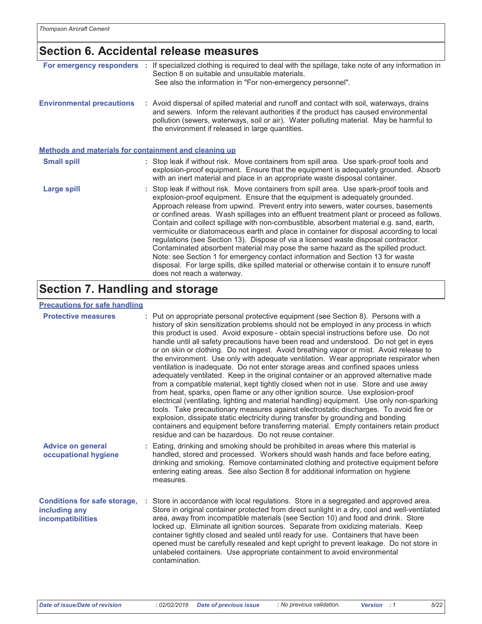### Section 6. Accidental release measures

| For emergency responders :                                   | If specialized clothing is required to deal with the spillage, take note of any information in<br>Section 8 on suitable and unsuitable materials.<br>See also the information in "For non-emergency personnel".                                                                                                                                                                                                                                                                                                                                                                                                                                                                                                                                                                                                                                                                                                                          |
|--------------------------------------------------------------|------------------------------------------------------------------------------------------------------------------------------------------------------------------------------------------------------------------------------------------------------------------------------------------------------------------------------------------------------------------------------------------------------------------------------------------------------------------------------------------------------------------------------------------------------------------------------------------------------------------------------------------------------------------------------------------------------------------------------------------------------------------------------------------------------------------------------------------------------------------------------------------------------------------------------------------|
| <b>Environmental precautions</b>                             | : Avoid dispersal of spilled material and runoff and contact with soil, waterways, drains<br>and sewers. Inform the relevant authorities if the product has caused environmental<br>pollution (sewers, waterways, soil or air). Water polluting material. May be harmful to<br>the environment if released in large quantities.                                                                                                                                                                                                                                                                                                                                                                                                                                                                                                                                                                                                          |
| <b>Methods and materials for containment and cleaning up</b> |                                                                                                                                                                                                                                                                                                                                                                                                                                                                                                                                                                                                                                                                                                                                                                                                                                                                                                                                          |
| <b>Small spill</b>                                           | : Stop leak if without risk. Move containers from spill area. Use spark-proof tools and<br>explosion-proof equipment. Ensure that the equipment is adequately grounded. Absorb<br>with an inert material and place in an appropriate waste disposal container.                                                                                                                                                                                                                                                                                                                                                                                                                                                                                                                                                                                                                                                                           |
| Large spill                                                  | : Stop leak if without risk. Move containers from spill area. Use spark-proof tools and<br>explosion-proof equipment. Ensure that the equipment is adequately grounded.<br>Approach release from upwind. Prevent entry into sewers, water courses, basements<br>or confined areas. Wash spillages into an effluent treatment plant or proceed as follows.<br>Contain and collect spillage with non-combustible, absorbent material e.g. sand, earth,<br>vermiculite or diatomaceous earth and place in container for disposal according to local<br>regulations (see Section 13). Dispose of via a licensed waste disposal contractor.<br>Contaminated absorbent material may pose the same hazard as the spilled product.<br>Note: see Section 1 for emergency contact information and Section 13 for waste<br>disposal. For large spills, dike spilled material or otherwise contain it to ensure runoff<br>does not reach a waterway. |

### **Section 7. Handling and storage**

#### **Precautions for safe handling**

| <b>Protective measures</b>                                                       | : Put on appropriate personal protective equipment (see Section 8). Persons with a<br>history of skin sensitization problems should not be employed in any process in which<br>this product is used. Avoid exposure - obtain special instructions before use. Do not<br>handle until all safety precautions have been read and understood. Do not get in eyes<br>or on skin or clothing. Do not ingest. Avoid breathing vapor or mist. Avoid release to<br>the environment. Use only with adequate ventilation. Wear appropriate respirator when<br>ventilation is inadequate. Do not enter storage areas and confined spaces unless<br>adequately ventilated. Keep in the original container or an approved alternative made<br>from a compatible material, kept tightly closed when not in use. Store and use away<br>from heat, sparks, open flame or any other ignition source. Use explosion-proof<br>electrical (ventilating, lighting and material handling) equipment. Use only non-sparking<br>tools. Take precautionary measures against electrostatic discharges. To avoid fire or<br>explosion, dissipate static electricity during transfer by grounding and bonding<br>containers and equipment before transferring material. Empty containers retain product<br>residue and can be hazardous. Do not reuse container. |
|----------------------------------------------------------------------------------|--------------------------------------------------------------------------------------------------------------------------------------------------------------------------------------------------------------------------------------------------------------------------------------------------------------------------------------------------------------------------------------------------------------------------------------------------------------------------------------------------------------------------------------------------------------------------------------------------------------------------------------------------------------------------------------------------------------------------------------------------------------------------------------------------------------------------------------------------------------------------------------------------------------------------------------------------------------------------------------------------------------------------------------------------------------------------------------------------------------------------------------------------------------------------------------------------------------------------------------------------------------------------------------------------------------------------------------|
| <b>Advice on general</b><br>occupational hygiene                                 | : Eating, drinking and smoking should be prohibited in areas where this material is<br>handled, stored and processed. Workers should wash hands and face before eating,<br>drinking and smoking. Remove contaminated clothing and protective equipment before<br>entering eating areas. See also Section 8 for additional information on hygiene<br>measures.                                                                                                                                                                                                                                                                                                                                                                                                                                                                                                                                                                                                                                                                                                                                                                                                                                                                                                                                                                        |
| <b>Conditions for safe storage,</b><br>including any<br><b>incompatibilities</b> | Store in accordance with local regulations. Store in a segregated and approved area.<br>Store in original container protected from direct sunlight in a dry, cool and well-ventilated<br>area, away from incompatible materials (see Section 10) and food and drink. Store<br>locked up. Eliminate all ignition sources. Separate from oxidizing materials. Keep<br>container tightly closed and sealed until ready for use. Containers that have been<br>opened must be carefully resealed and kept upright to prevent leakage. Do not store in<br>unlabeled containers. Use appropriate containment to avoid environmental<br>contamination.                                                                                                                                                                                                                                                                                                                                                                                                                                                                                                                                                                                                                                                                                       |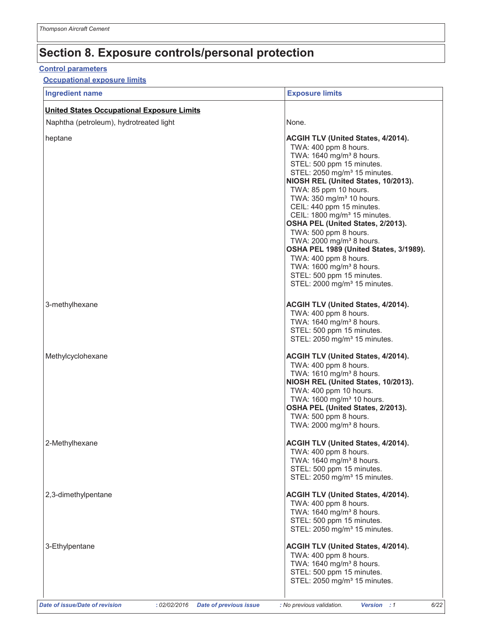#### **Control parameters**

#### **Occupational exposure limits**

| <b>Ingredient name</b>                            | <b>Exposure limits</b>                                                                                                                                                                                                                                                                                                                                                                                                                                                                                                                                                                                                                                         |
|---------------------------------------------------|----------------------------------------------------------------------------------------------------------------------------------------------------------------------------------------------------------------------------------------------------------------------------------------------------------------------------------------------------------------------------------------------------------------------------------------------------------------------------------------------------------------------------------------------------------------------------------------------------------------------------------------------------------------|
| <b>United States Occupational Exposure Limits</b> |                                                                                                                                                                                                                                                                                                                                                                                                                                                                                                                                                                                                                                                                |
| Naphtha (petroleum), hydrotreated light           | None.                                                                                                                                                                                                                                                                                                                                                                                                                                                                                                                                                                                                                                                          |
| heptane                                           | <b>ACGIH TLV (United States, 4/2014).</b><br>TWA: 400 ppm 8 hours.<br>TWA: 1640 mg/m <sup>3</sup> 8 hours.<br>STEL: 500 ppm 15 minutes.<br>STEL: 2050 mg/m <sup>3</sup> 15 minutes.<br>NIOSH REL (United States, 10/2013).<br>TWA: 85 ppm 10 hours.<br>TWA: 350 mg/m <sup>3</sup> 10 hours.<br>CEIL: 440 ppm 15 minutes.<br>CEIL: 1800 mg/m <sup>3</sup> 15 minutes.<br>OSHA PEL (United States, 2/2013).<br>TWA: 500 ppm 8 hours.<br>TWA: 2000 mg/m <sup>3</sup> 8 hours.<br>OSHA PEL 1989 (United States, 3/1989).<br>TWA: 400 ppm 8 hours.<br>TWA: 1600 mg/m <sup>3</sup> 8 hours.<br>STEL: 500 ppm 15 minutes.<br>STEL: 2000 mg/m <sup>3</sup> 15 minutes. |
| 3-methylhexane                                    | ACGIH TLV (United States, 4/2014).<br>TWA: 400 ppm 8 hours.<br>TWA: 1640 mg/m <sup>3</sup> 8 hours.<br>STEL: 500 ppm 15 minutes.<br>STEL: 2050 mg/m <sup>3</sup> 15 minutes.                                                                                                                                                                                                                                                                                                                                                                                                                                                                                   |
| Methylcyclohexane                                 | ACGIH TLV (United States, 4/2014).<br>TWA: 400 ppm 8 hours.<br>TWA: 1610 mg/m <sup>3</sup> 8 hours.<br>NIOSH REL (United States, 10/2013).<br>TWA: 400 ppm 10 hours.<br>TWA: 1600 mg/m <sup>3</sup> 10 hours.<br>OSHA PEL (United States, 2/2013).<br>TWA: 500 ppm 8 hours.<br>TWA: 2000 mg/m <sup>3</sup> 8 hours.                                                                                                                                                                                                                                                                                                                                            |
| 2-Methylhexane                                    | ACGIH TLV (United States, 4/2014).<br>TWA: 400 ppm 8 hours.<br>TWA: 1640 mg/m <sup>3</sup> 8 hours.<br>STEL: 500 ppm 15 minutes.<br>STEL: 2050 mg/m <sup>3</sup> 15 minutes.                                                                                                                                                                                                                                                                                                                                                                                                                                                                                   |
| 2,3-dimethylpentane                               | <b>ACGIH TLV (United States, 4/2014).</b><br>TWA: 400 ppm 8 hours.<br>TWA: 1640 mg/m <sup>3</sup> 8 hours.<br>STEL: 500 ppm 15 minutes.<br>STEL: 2050 mg/m <sup>3</sup> 15 minutes.                                                                                                                                                                                                                                                                                                                                                                                                                                                                            |
| 3-Ethylpentane                                    | ACGIH TLV (United States, 4/2014).<br>TWA: 400 ppm 8 hours.<br>TWA: 1640 mg/m <sup>3</sup> 8 hours.<br>STEL: 500 ppm 15 minutes.<br>STEL: 2050 mg/m <sup>3</sup> 15 minutes.                                                                                                                                                                                                                                                                                                                                                                                                                                                                                   |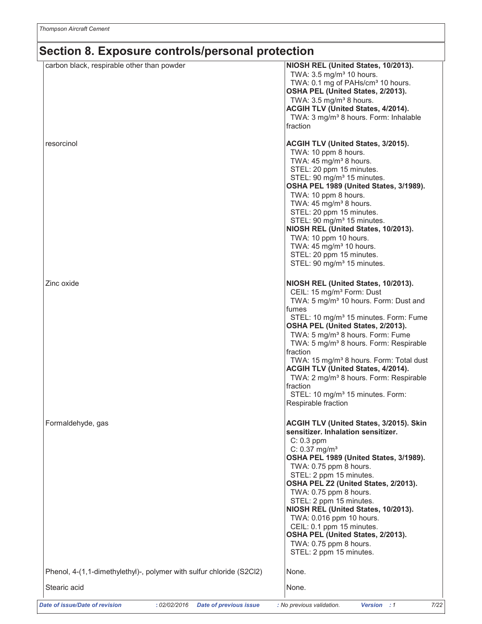| carbon black, respirable other than powder                                            | NIOSH REL (United States, 10/2013).<br>TWA: 3.5 mg/m <sup>3</sup> 10 hours.<br>TWA: 0.1 mg of PAHs/cm <sup>3</sup> 10 hours.<br>OSHA PEL (United States, 2/2013).<br>TWA: $3.5 \text{ mg/m}^3$ 8 hours.<br>ACGIH TLV (United States, 4/2014).<br>TWA: 3 mg/m <sup>3</sup> 8 hours. Form: Inhalable<br>fraction                                                                                                                                                                                                                                                                                      |
|---------------------------------------------------------------------------------------|-----------------------------------------------------------------------------------------------------------------------------------------------------------------------------------------------------------------------------------------------------------------------------------------------------------------------------------------------------------------------------------------------------------------------------------------------------------------------------------------------------------------------------------------------------------------------------------------------------|
| resorcinol                                                                            | ACGIH TLV (United States, 3/2015).<br>TWA: 10 ppm 8 hours.<br>TWA: 45 mg/m <sup>3</sup> 8 hours.<br>STEL: 20 ppm 15 minutes.<br>STEL: 90 mg/m <sup>3</sup> 15 minutes.<br>OSHA PEL 1989 (United States, 3/1989).<br>TWA: 10 ppm 8 hours.<br>TWA: 45 mg/m <sup>3</sup> 8 hours.<br>STEL: 20 ppm 15 minutes.<br>STEL: 90 mg/m <sup>3</sup> 15 minutes.<br>NIOSH REL (United States, 10/2013).<br>TWA: 10 ppm 10 hours.<br>TWA: 45 mg/m <sup>3</sup> 10 hours.<br>STEL: 20 ppm 15 minutes.<br>STEL: 90 mg/m <sup>3</sup> 15 minutes.                                                                   |
| Zinc oxide                                                                            | NIOSH REL (United States, 10/2013).<br>CEIL: 15 mg/m <sup>3</sup> Form: Dust<br>TWA: 5 mg/m <sup>3</sup> 10 hours. Form: Dust and<br>fumes<br>STEL: 10 mg/m <sup>3</sup> 15 minutes. Form: Fume<br>OSHA PEL (United States, 2/2013).<br>TWA: 5 mg/m <sup>3</sup> 8 hours. Form: Fume<br>TWA: 5 mg/m <sup>3</sup> 8 hours. Form: Respirable<br>fraction<br>TWA: 15 mg/m <sup>3</sup> 8 hours. Form: Total dust<br><b>ACGIH TLV (United States, 4/2014).</b><br>TWA: 2 mg/m <sup>3</sup> 8 hours. Form: Respirable<br>fraction<br>STEL: 10 mg/m <sup>3</sup> 15 minutes. Form:<br>Respirable fraction |
| Formaldehyde, gas                                                                     | <b>ACGIH TLV (United States, 3/2015). Skin</b><br>sensitizer. Inhalation sensitizer.<br>$C: 0.3$ ppm<br>$C: 0.37$ mg/m <sup>3</sup><br>OSHA PEL 1989 (United States, 3/1989).<br>TWA: 0.75 ppm 8 hours.<br>STEL: 2 ppm 15 minutes.<br>OSHA PEL Z2 (United States, 2/2013).<br>TWA: 0.75 ppm 8 hours.<br>STEL: 2 ppm 15 minutes.<br>NIOSH REL (United States, 10/2013).<br>TWA: 0.016 ppm 10 hours.<br>CEIL: 0.1 ppm 15 minutes.<br>OSHA PEL (United States, 2/2013).<br>TWA: 0.75 ppm 8 hours.<br>STEL: 2 ppm 15 minutes.                                                                           |
| Phenol, 4-(1,1-dimethylethyl)-, polymer with sulfur chloride (S2Cl2)                  | None.                                                                                                                                                                                                                                                                                                                                                                                                                                                                                                                                                                                               |
| Stearic acid                                                                          | None.                                                                                                                                                                                                                                                                                                                                                                                                                                                                                                                                                                                               |
| <b>Date of issue/Date of revision</b><br>:02/02/2016<br><b>Date of previous issue</b> | : No previous validation.<br>7/22<br>Version : 1                                                                                                                                                                                                                                                                                                                                                                                                                                                                                                                                                    |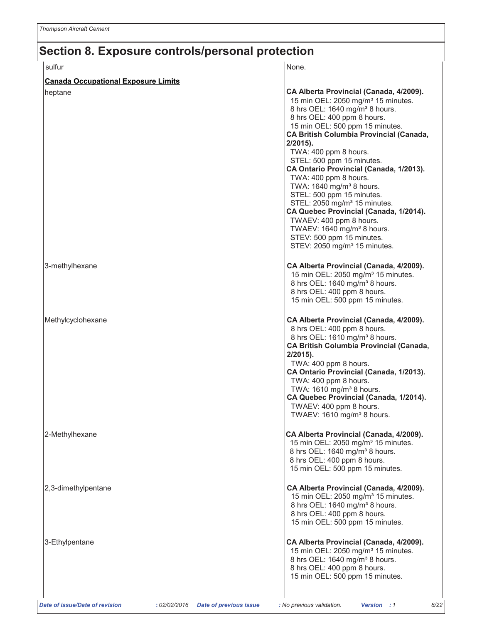| sulfur                                     | None.                                                                                                                                                                                                                                                                                                                                                                                                                                                                                                                                                                                                                                                                                                         |
|--------------------------------------------|---------------------------------------------------------------------------------------------------------------------------------------------------------------------------------------------------------------------------------------------------------------------------------------------------------------------------------------------------------------------------------------------------------------------------------------------------------------------------------------------------------------------------------------------------------------------------------------------------------------------------------------------------------------------------------------------------------------|
| <b>Canada Occupational Exposure Limits</b> |                                                                                                                                                                                                                                                                                                                                                                                                                                                                                                                                                                                                                                                                                                               |
| heptane                                    | CA Alberta Provincial (Canada, 4/2009).<br>15 min OEL: 2050 mg/m <sup>3</sup> 15 minutes.<br>8 hrs OEL: 1640 mg/m <sup>3</sup> 8 hours.<br>8 hrs OEL: 400 ppm 8 hours.<br>15 min OEL: 500 ppm 15 minutes.<br><b>CA British Columbia Provincial (Canada,</b><br>$2/2015$ ).<br>TWA: 400 ppm 8 hours.<br>STEL: 500 ppm 15 minutes.<br>CA Ontario Provincial (Canada, 1/2013).<br>TWA: 400 ppm 8 hours.<br>TWA: 1640 mg/m <sup>3</sup> 8 hours.<br>STEL: 500 ppm 15 minutes.<br>STEL: 2050 mg/m <sup>3</sup> 15 minutes.<br>CA Quebec Provincial (Canada, 1/2014).<br>TWAEV: 400 ppm 8 hours.<br>TWAEV: 1640 mg/m <sup>3</sup> 8 hours.<br>STEV: 500 ppm 15 minutes.<br>STEV: 2050 mg/m <sup>3</sup> 15 minutes. |
| 3-methylhexane                             | CA Alberta Provincial (Canada, 4/2009).<br>15 min OEL: 2050 mg/m <sup>3</sup> 15 minutes.<br>8 hrs OEL: 1640 mg/m <sup>3</sup> 8 hours.<br>8 hrs OEL: 400 ppm 8 hours.<br>15 min OEL: 500 ppm 15 minutes.                                                                                                                                                                                                                                                                                                                                                                                                                                                                                                     |
| Methylcyclohexane                          | CA Alberta Provincial (Canada, 4/2009).<br>8 hrs OEL: 400 ppm 8 hours.<br>8 hrs OEL: 1610 mg/m <sup>3</sup> 8 hours.<br><b>CA British Columbia Provincial (Canada,</b><br>$2/2015$ ).<br>TWA: 400 ppm 8 hours.<br>CA Ontario Provincial (Canada, 1/2013).<br>TWA: 400 ppm 8 hours.<br>TWA: 1610 mg/m <sup>3</sup> 8 hours.<br>CA Quebec Provincial (Canada, 1/2014).<br>TWAEV: 400 ppm 8 hours.<br>TWAEV: 1610 mg/m <sup>3</sup> 8 hours.                                                                                                                                                                                                                                                                     |
| 2-Methylhexane                             | CA Alberta Provincial (Canada, 4/2009).<br>15 min OEL: 2050 mg/m <sup>3</sup> 15 minutes.<br>8 hrs OEL: 1640 mg/m <sup>3</sup> 8 hours.<br>8 hrs OEL: 400 ppm 8 hours.<br>15 min OEL: 500 ppm 15 minutes.                                                                                                                                                                                                                                                                                                                                                                                                                                                                                                     |
| 2,3-dimethylpentane                        | CA Alberta Provincial (Canada, 4/2009).<br>15 min OEL: 2050 mg/m <sup>3</sup> 15 minutes.<br>8 hrs OEL: 1640 mg/m <sup>3</sup> 8 hours.<br>8 hrs OEL: 400 ppm 8 hours.<br>15 min OEL: 500 ppm 15 minutes.                                                                                                                                                                                                                                                                                                                                                                                                                                                                                                     |
| 3-Ethylpentane                             | CA Alberta Provincial (Canada, 4/2009).<br>15 min OEL: 2050 mg/m <sup>3</sup> 15 minutes.<br>8 hrs OEL: 1640 mg/m <sup>3</sup> 8 hours.<br>8 hrs OEL: 400 ppm 8 hours.<br>15 min OEL: 500 ppm 15 minutes.                                                                                                                                                                                                                                                                                                                                                                                                                                                                                                     |

Version : 1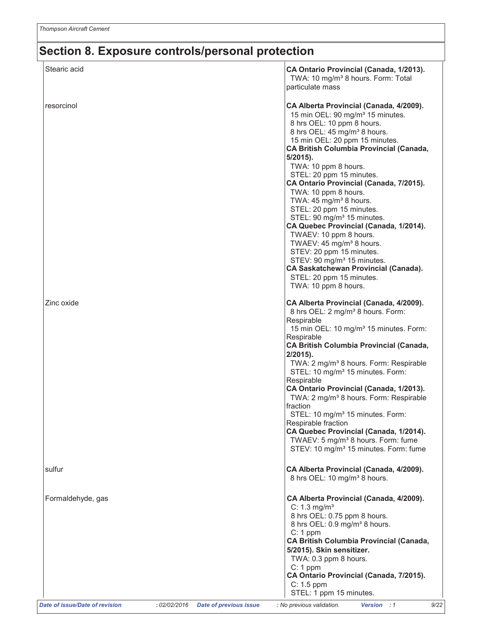| Stearic acid                                                                           | CA Ontario Provincial (Canada, 1/2013).<br>TWA: 10 mg/m <sup>3</sup> 8 hours. Form: Total<br>particulate mass                                                                                                                                                                                                                                                                                                                                                                                                                                                                                                                                                                                        |
|----------------------------------------------------------------------------------------|------------------------------------------------------------------------------------------------------------------------------------------------------------------------------------------------------------------------------------------------------------------------------------------------------------------------------------------------------------------------------------------------------------------------------------------------------------------------------------------------------------------------------------------------------------------------------------------------------------------------------------------------------------------------------------------------------|
| resorcinol                                                                             | CA Alberta Provincial (Canada, 4/2009).<br>15 min OEL: 90 mg/m <sup>3</sup> 15 minutes.<br>8 hrs OEL: 10 ppm 8 hours.<br>8 hrs OEL: 45 mg/m <sup>3</sup> 8 hours.<br>15 min OEL: 20 ppm 15 minutes.<br><b>CA British Columbia Provincial (Canada,</b><br>$5/2015$ ).<br>TWA: 10 ppm 8 hours.<br>STEL: 20 ppm 15 minutes.<br>CA Ontario Provincial (Canada, 7/2015).<br>TWA: 10 ppm 8 hours.<br>TWA: 45 mg/m <sup>3</sup> 8 hours.<br>STEL: 20 ppm 15 minutes.<br>STEL: 90 mg/m <sup>3</sup> 15 minutes.<br>CA Quebec Provincial (Canada, 1/2014).<br>TWAEV: 10 ppm 8 hours.<br>TWAEV: 45 mg/m <sup>3</sup> 8 hours.<br>STEV: 20 ppm 15 minutes.<br>STEV: 90 mg/m <sup>3</sup> 15 minutes.            |
|                                                                                        | <b>CA Saskatchewan Provincial (Canada).</b><br>STEL: 20 ppm 15 minutes.<br>TWA: 10 ppm 8 hours.                                                                                                                                                                                                                                                                                                                                                                                                                                                                                                                                                                                                      |
| Zinc oxide                                                                             | CA Alberta Provincial (Canada, 4/2009).<br>8 hrs OEL: 2 mg/m <sup>3</sup> 8 hours. Form:<br>Respirable<br>15 min OEL: 10 mg/m <sup>3</sup> 15 minutes. Form:<br>Respirable<br><b>CA British Columbia Provincial (Canada,</b><br>$2/2015$ ).<br>TWA: 2 mg/m <sup>3</sup> 8 hours. Form: Respirable<br>STEL: 10 mg/m <sup>3</sup> 15 minutes. Form:<br>Respirable<br>CA Ontario Provincial (Canada, 1/2013).<br>TWA: 2 mg/m <sup>3</sup> 8 hours. Form: Respirable<br>fraction<br>STEL: 10 mg/m <sup>3</sup> 15 minutes. Form:<br>Respirable fraction<br>CA Quebec Provincial (Canada, 1/2014).<br>TWAEV: 5 mg/m <sup>3</sup> 8 hours. Form: fume<br>STEV: 10 mg/m <sup>3</sup> 15 minutes. Form: fume |
| sulfur                                                                                 | CA Alberta Provincial (Canada, 4/2009).<br>8 hrs OEL: 10 mg/m <sup>3</sup> 8 hours.                                                                                                                                                                                                                                                                                                                                                                                                                                                                                                                                                                                                                  |
| Formaldehyde, gas                                                                      | CA Alberta Provincial (Canada, 4/2009).<br>$C: 1.3$ mg/m <sup>3</sup><br>8 hrs OEL: 0.75 ppm 8 hours.<br>8 hrs OEL: 0.9 mg/m <sup>3</sup> 8 hours.<br>$C: 1$ ppm<br>CA British Columbia Provincial (Canada,<br>5/2015). Skin sensitizer.<br>TWA: 0.3 ppm 8 hours.<br>$C: 1$ ppm<br>CA Ontario Provincial (Canada, 7/2015).<br>$C: 1.5$ ppm<br>STEL: 1 ppm 15 minutes.                                                                                                                                                                                                                                                                                                                                |
| <b>Date of issue/Date of revision</b><br>: 02/02/2016<br><b>Date of previous issue</b> | : No previous validation.<br>9/22<br>Version : 1                                                                                                                                                                                                                                                                                                                                                                                                                                                                                                                                                                                                                                                     |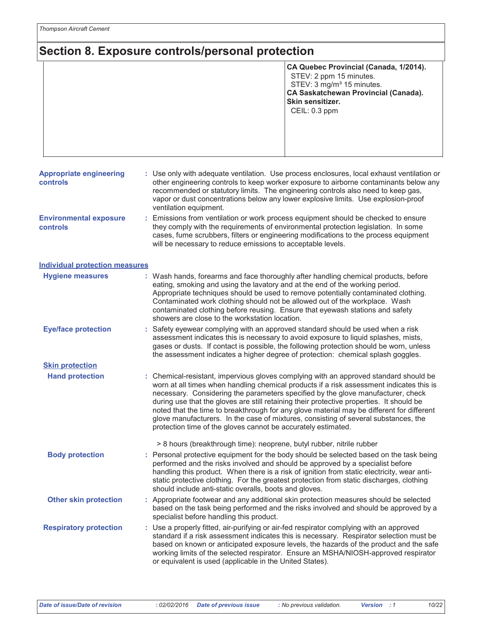|                                                  | CA Quebec Provincial (Canada, 1/2014).<br>STEV: 2 ppm 15 minutes.<br>STEV: 3 mg/m <sup>3</sup> 15 minutes.<br>CA Saskatchewan Provincial (Canada).<br>Skin sensitizer.<br>CEIL: 0.3 ppm                                                                                                                                                                                                                                                                                                                                                                                                                                |  |  |
|--------------------------------------------------|------------------------------------------------------------------------------------------------------------------------------------------------------------------------------------------------------------------------------------------------------------------------------------------------------------------------------------------------------------------------------------------------------------------------------------------------------------------------------------------------------------------------------------------------------------------------------------------------------------------------|--|--|
| <b>Appropriate engineering</b><br>controls       | : Use only with adequate ventilation. Use process enclosures, local exhaust ventilation or<br>other engineering controls to keep worker exposure to airborne contaminants below any<br>recommended or statutory limits. The engineering controls also need to keep gas,<br>vapor or dust concentrations below any lower explosive limits. Use explosion-proof<br>ventilation equipment.                                                                                                                                                                                                                                |  |  |
| <b>Environmental exposure</b><br><b>controls</b> | : Emissions from ventilation or work process equipment should be checked to ensure<br>they comply with the requirements of environmental protection legislation. In some<br>cases, fume scrubbers, filters or engineering modifications to the process equipment<br>will be necessary to reduce emissions to acceptable levels.                                                                                                                                                                                                                                                                                        |  |  |
| <b>Individual protection measures</b>            |                                                                                                                                                                                                                                                                                                                                                                                                                                                                                                                                                                                                                        |  |  |
| <b>Hygiene measures</b>                          | : Wash hands, forearms and face thoroughly after handling chemical products, before<br>eating, smoking and using the lavatory and at the end of the working period.<br>Appropriate techniques should be used to remove potentially contaminated clothing.<br>Contaminated work clothing should not be allowed out of the workplace. Wash<br>contaminated clothing before reusing. Ensure that eyewash stations and safety<br>showers are close to the workstation location.                                                                                                                                            |  |  |
| <b>Eye/face protection</b>                       | Safety eyewear complying with an approved standard should be used when a risk<br>assessment indicates this is necessary to avoid exposure to liquid splashes, mists,<br>gases or dusts. If contact is possible, the following protection should be worn, unless<br>the assessment indicates a higher degree of protection: chemical splash goggles.                                                                                                                                                                                                                                                                    |  |  |
| <b>Skin protection</b>                           |                                                                                                                                                                                                                                                                                                                                                                                                                                                                                                                                                                                                                        |  |  |
| <b>Hand protection</b>                           | : Chemical-resistant, impervious gloves complying with an approved standard should be<br>worn at all times when handling chemical products if a risk assessment indicates this is<br>necessary. Considering the parameters specified by the glove manufacturer, check<br>during use that the gloves are still retaining their protective properties. It should be<br>noted that the time to breakthrough for any glove material may be different for different<br>glove manufacturers. In the case of mixtures, consisting of several substances, the<br>protection time of the gloves cannot be accurately estimated. |  |  |
|                                                  | > 8 hours (breakthrough time): neoprene, butyl rubber, nitrile rubber                                                                                                                                                                                                                                                                                                                                                                                                                                                                                                                                                  |  |  |
| <b>Body protection</b>                           | : Personal protective equipment for the body should be selected based on the task being<br>performed and the risks involved and should be approved by a specialist before<br>handling this product. When there is a risk of ignition from static electricity, wear anti-<br>static protective clothing. For the greatest protection from static discharges, clothing<br>should include anti-static overalls, boots and gloves.                                                                                                                                                                                         |  |  |
| <b>Other skin protection</b>                     | : Appropriate footwear and any additional skin protection measures should be selected<br>based on the task being performed and the risks involved and should be approved by a<br>specialist before handling this product.                                                                                                                                                                                                                                                                                                                                                                                              |  |  |
| <b>Respiratory protection</b>                    | : Use a properly fitted, air-purifying or air-fed respirator complying with an approved<br>standard if a risk assessment indicates this is necessary. Respirator selection must be<br>based on known or anticipated exposure levels, the hazards of the product and the safe<br>working limits of the selected respirator. Ensure an MSHA/NIOSH-approved respirator<br>or equivalent is used (applicable in the United States).                                                                                                                                                                                        |  |  |

: 02/02/2016 Date of previous issue

: No previous validation.

Version : 1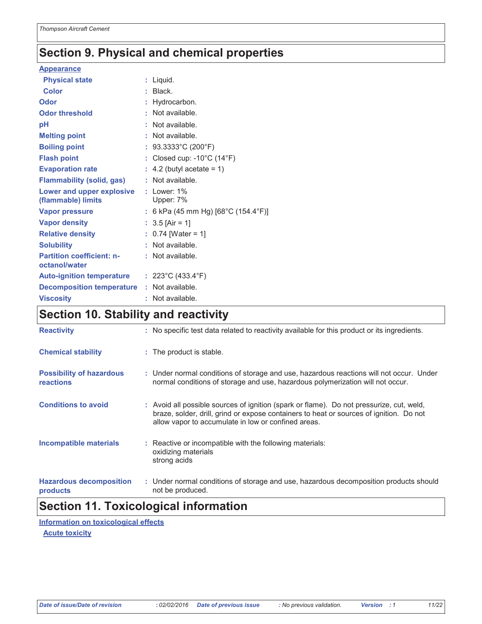### **Section 9. Physical and chemical properties**

#### **Appearance**

| <b>Physical state</b>                           | $:$ Liquid.                                     |
|-------------------------------------------------|-------------------------------------------------|
| <b>Color</b>                                    | $:$ Black.                                      |
| Odor                                            | : Hydrocarbon.                                  |
| <b>Odor threshold</b>                           | : Not available.                                |
| pH                                              | : Not available.                                |
| <b>Melting point</b>                            | : Not available.                                |
| <b>Boiling point</b>                            | : $93.3333^{\circ}$ C (200°F)                   |
| <b>Flash point</b>                              | : Closed cup: $-10^{\circ}$ C (14 $^{\circ}$ F) |
| <b>Evaporation rate</b>                         | $\therefore$ 4.2 (butyl acetate = 1)            |
| <b>Flammability (solid, gas)</b>                | : Not available.                                |
| Lower and upper explosive<br>(flammable) limits | $:$ Lower: $1\%$<br>Upper: 7%                   |
| <b>Vapor pressure</b>                           | : 6 kPa (45 mm Hg) [68°C (154.4°F)]             |
|                                                 |                                                 |
| <b>Vapor density</b>                            | : $3.5$ [Air = 1]                               |
| <b>Relative density</b>                         | $: 0.74$ [Water = 1]                            |
| <b>Solubility</b>                               | : Not available.                                |
| <b>Partition coefficient: n-</b>                | : Not available.                                |
| octanol/water                                   |                                                 |
| <b>Auto-ignition temperature</b>                | : $223^{\circ}$ C (433.4 $^{\circ}$ F)          |
| <b>Decomposition temperature</b>                | : Not available.                                |
| <b>Viscosity</b>                                | : Not available.                                |

### **Section 10. Stability and reactivity**

| <b>Reactivity</b>                                 | : No specific test data related to reactivity available for this product or its ingredients.                                                                                                                                               |
|---------------------------------------------------|--------------------------------------------------------------------------------------------------------------------------------------------------------------------------------------------------------------------------------------------|
| <b>Chemical stability</b>                         | : The product is stable.                                                                                                                                                                                                                   |
| <b>Possibility of hazardous</b><br>reactions      | : Under normal conditions of storage and use, hazardous reactions will not occur. Under<br>normal conditions of storage and use, hazardous polymerization will not occur.                                                                  |
| <b>Conditions to avoid</b>                        | : Avoid all possible sources of ignition (spark or flame). Do not pressurize, cut, weld,<br>braze, solder, drill, grind or expose containers to heat or sources of ignition. Do not<br>allow vapor to accumulate in low or confined areas. |
| <b>Incompatible materials</b>                     | : Reactive or incompatible with the following materials:<br>oxidizing materials<br>strong acids                                                                                                                                            |
| <b>Hazardous decomposition</b><br><b>products</b> | : Under normal conditions of storage and use, hazardous decomposition products should<br>not be produced.                                                                                                                                  |

### **Section 11. Toxicological information**

Information on toxicological effects **Acute toxicity**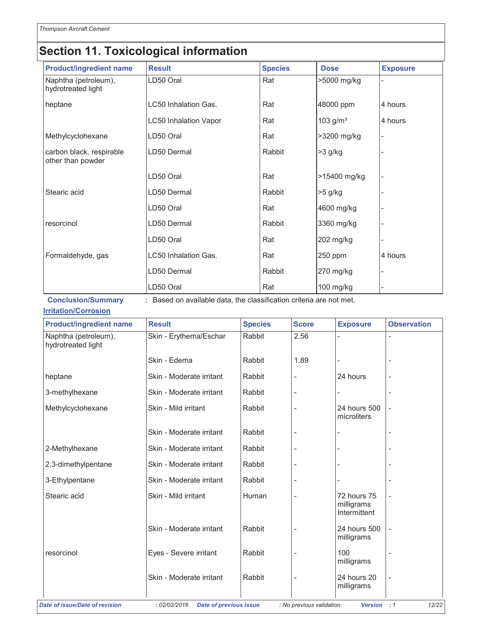### **Section 11. Toxicological information**

| <b>Product/ingredient name</b>                | <b>Result</b>                | <b>Species</b> | <b>Dose</b>  | <b>Exposure</b> |
|-----------------------------------------------|------------------------------|----------------|--------------|-----------------|
| Naphtha (petroleum),<br>hydrotreated light    | LD50 Oral                    | Rat            | >5000 mg/kg  |                 |
| heptane                                       | LC50 Inhalation Gas.         | Rat            | 48000 ppm    | 4 hours         |
|                                               | <b>LC50 Inhalation Vapor</b> | Rat            | 103 $g/m^3$  | 4 hours         |
| Methylcyclohexane                             | LD50 Oral                    | Rat            | >3200 mg/kg  |                 |
| carbon black, respirable<br>other than powder | LD50 Dermal                  | Rabbit         | >3 g/kg      |                 |
|                                               | LD50 Oral                    | Rat            | >15400 mg/kg |                 |
| Stearic acid                                  | LD50 Dermal                  | Rabbit         | >5 g/kg      |                 |
|                                               | LD50 Oral                    | Rat            | 4600 mg/kg   |                 |
| resorcinol                                    | LD50 Dermal                  | Rabbit         | 3360 mg/kg   |                 |
|                                               | LD50 Oral                    | Rat            | 202 mg/kg    |                 |
| Formaldehyde, gas                             | <b>LC50 Inhalation Gas.</b>  | Rat            | 250 ppm      | 4 hours         |
|                                               | LD50 Dermal                  | Rabbit         | 270 mg/kg    |                 |
|                                               | LD50 Oral                    | Rat            | 100 mg/kg    |                 |

Conclusion/Summary : Based on available data, the classification criteria are not met.

#### **Irritation/Corrosion**

| <b>Product/ingredient name</b>             | <b>Result</b>                                 | <b>Species</b> | <b>Score</b>              | <b>Exposure</b>                           | <b>Observation</b>       |
|--------------------------------------------|-----------------------------------------------|----------------|---------------------------|-------------------------------------------|--------------------------|
| Naphtha (petroleum),<br>hydrotreated light | Skin - Erythema/Eschar                        | Rabbit         | 2.56                      |                                           |                          |
|                                            | Skin - Edema                                  | Rabbit         | 1.89                      |                                           |                          |
| heptane                                    | Skin - Moderate irritant                      | Rabbit         | $\overline{a}$            | 24 hours                                  |                          |
| 3-methylhexane                             | Skin - Moderate irritant                      | Rabbit         | $\overline{\phantom{m}}$  |                                           |                          |
| Methylcyclohexane                          | Skin - Mild irritant                          | Rabbit         | $\overline{a}$            | 24 hours 500<br>microliters               |                          |
|                                            | Skin - Moderate irritant                      | Rabbit         | Ĭ.                        |                                           |                          |
| 2-Methylhexane                             | Skin - Moderate irritant                      | Rabbit         | L,                        |                                           |                          |
| 2,3-dimethylpentane                        | Skin - Moderate irritant                      | Rabbit         | ÷,                        |                                           |                          |
| 3-Ethylpentane                             | Skin - Moderate irritant                      | Rabbit         |                           |                                           |                          |
| Stearic acid                               | Skin - Mild irritant                          | Human          | $\frac{1}{2}$             | 72 hours 75<br>milligrams<br>Intermittent |                          |
|                                            | Skin - Moderate irritant                      | Rabbit         | $\frac{1}{2}$             | 24 hours 500<br>milligrams                | $\overline{\phantom{0}}$ |
| resorcinol                                 | Eyes - Severe irritant                        | Rabbit         | $\frac{1}{2}$             | 100<br>milligrams                         |                          |
|                                            | Skin - Moderate irritant                      | Rabbit         | ÷,                        | 24 hours 20<br>milligrams                 |                          |
| <b>Date of issue/Date of revision</b>      | : 02/02/2016<br><b>Date of previous issue</b> |                | : No previous validation. | <b>Version</b>                            | $\therefore$ 1<br>12/22  |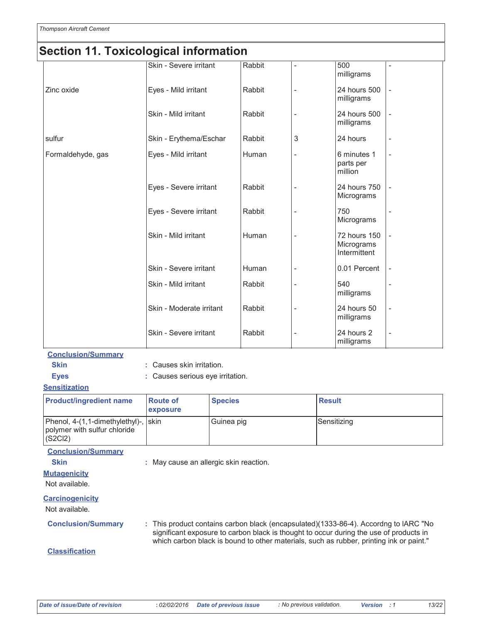#### vicological information مائك  $\overline{A}$ т. S

| Secuon II. roxicological information |                          |        |                |                                            |    |
|--------------------------------------|--------------------------|--------|----------------|--------------------------------------------|----|
|                                      | Skin - Severe irritant   | Rabbit |                | 500<br>milligrams                          |    |
| Zinc oxide                           | Eyes - Mild irritant     | Rabbit |                | 24 hours 500<br>milligrams                 |    |
|                                      | Skin - Mild irritant     | Rabbit |                | 24 hours 500<br>milligrams                 |    |
| sulfur                               | Skin - Erythema/Eschar   | Rabbit | 3              | 24 hours                                   | L, |
| Formaldehyde, gas                    | Eyes - Mild irritant     | Human  |                | 6 minutes 1<br>parts per<br>million        | L, |
|                                      | Eyes - Severe irritant   | Rabbit | -              | 24 hours 750<br>Micrograms                 |    |
|                                      | Eyes - Severe irritant   | Rabbit | -              | 750<br>Micrograms                          |    |
|                                      | Skin - Mild irritant     | Human  |                | 72 hours 150<br>Micrograms<br>Intermittent |    |
|                                      | Skin - Severe irritant   | Human  | -              | 0.01 Percent                               |    |
|                                      | Skin - Mild irritant     | Rabbit | $\overline{a}$ | 540<br>milligrams                          |    |
|                                      | Skin - Moderate irritant | Rabbit | $\overline{a}$ | 24 hours 50<br>milligrams                  | Ĭ. |
|                                      | Skin - Severe irritant   | Rabbit | $\overline{a}$ | 24 hours 2<br>milligrams                   | L, |

#### **Conclusion/Summary**

: Causes skin irritation.

: Causes serious eye irritation.

#### **Sensitization**

**Skin** 

**Eyes** 

| <b>Product/ingredient name</b>                                                  | <b>Route of</b><br><b>exposure</b> | <b>Species</b> | <b>Result</b> |
|---------------------------------------------------------------------------------|------------------------------------|----------------|---------------|
| Phenol, 4-(1,1-dimethylethyl)-, skin<br>polymer with sulfur chloride<br>(S2Cl2) |                                    | Guinea pig     | Sensitizing   |
| $\sim$ $\sim$ $\sim$ $\sim$ $\sim$ $\sim$ $\sim$                                |                                    |                |               |

#### **Conclusion/Summary**

**Skin** 

: May cause an allergic skin reaction.

#### **Mutagenicity**

Not available.

#### **Carcinogenicity**

Not available.

**Conclusion/Summary** 

: This product contains carbon black (encapsulated)(1333-86-4). Accordng to IARC "No significant exposure to carbon black is thought to occur during the use of products in which carbon black is bound to other materials, such as rubber, printing ink or paint."

#### **Classification**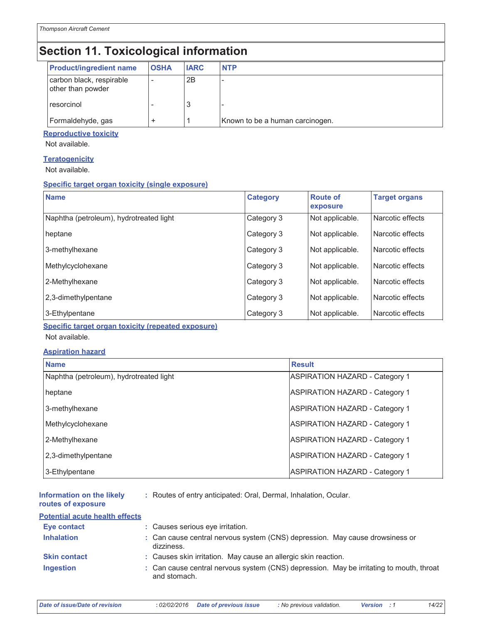### **Section 11. Toxicological information**

| <b>Product/ingredient name</b>                | <b>OSHA</b> | <b>IARC</b> | <b>NTP</b>                      |
|-----------------------------------------------|-------------|-------------|---------------------------------|
| carbon black, respirable<br>other than powder |             | 2B          |                                 |
| resorcinol                                    |             | 3           |                                 |
| Formaldehyde, gas                             |             |             | Known to be a human carcinogen. |

#### **Reproductive toxicity**

Not available.

#### **Teratogenicity**

Not available.

#### **Specific target organ toxicity (single exposure)**

| <b>Name</b>                             | <b>Category</b> | <b>Route of</b><br>exposure | <b>Target organs</b> |
|-----------------------------------------|-----------------|-----------------------------|----------------------|
| Naphtha (petroleum), hydrotreated light | Category 3      | Not applicable.             | Narcotic effects     |
| heptane                                 | Category 3      | Not applicable.             | Narcotic effects     |
| 3-methylhexane                          | Category 3      | Not applicable.             | Narcotic effects     |
| Methylcyclohexane                       | Category 3      | Not applicable.             | Narcotic effects     |
| 2-Methylhexane                          | Category 3      | Not applicable.             | Narcotic effects     |
| 2,3-dimethylpentane                     | Category 3      | Not applicable.             | Narcotic effects     |
| 3-Ethylpentane                          | Category 3      | Not applicable.             | Narcotic effects     |

**Specific target organ toxicity (repeated exposure)** 

Not available.

#### **Aspiration hazard**

| <b>Name</b>                             | <b>Result</b>                         |
|-----------------------------------------|---------------------------------------|
| Naphtha (petroleum), hydrotreated light | <b>ASPIRATION HAZARD - Category 1</b> |
| heptane                                 | <b>ASPIRATION HAZARD - Category 1</b> |
| 3-methylhexane                          | <b>ASPIRATION HAZARD - Category 1</b> |
| Methylcyclohexane                       | <b>ASPIRATION HAZARD - Category 1</b> |
| 2-Methylhexane                          | <b>ASPIRATION HAZARD - Category 1</b> |
| 2,3-dimethylpentane                     | <b>ASPIRATION HAZARD - Category 1</b> |
| 3-Ethylpentane                          | <b>ASPIRATION HAZARD - Category 1</b> |

| Information on the likely<br>routes of exposure | : Routes of entry anticipated: Oral, Dermal, Inhalation, Ocular. |
|-------------------------------------------------|------------------------------------------------------------------|
| Potential acute health effects                  |                                                                  |

| Eye contact         | : Causes serious eye irritation.                                                                        |
|---------------------|---------------------------------------------------------------------------------------------------------|
| <b>Inhalation</b>   | : Can cause central nervous system (CNS) depression. May cause drowsiness or<br>dizziness.              |
| <b>Skin contact</b> | : Causes skin irritation. May cause an allergic skin reaction.                                          |
| <b>Ingestion</b>    | : Can cause central nervous system (CNS) depression. May be irritating to mouth, throat<br>and stomach. |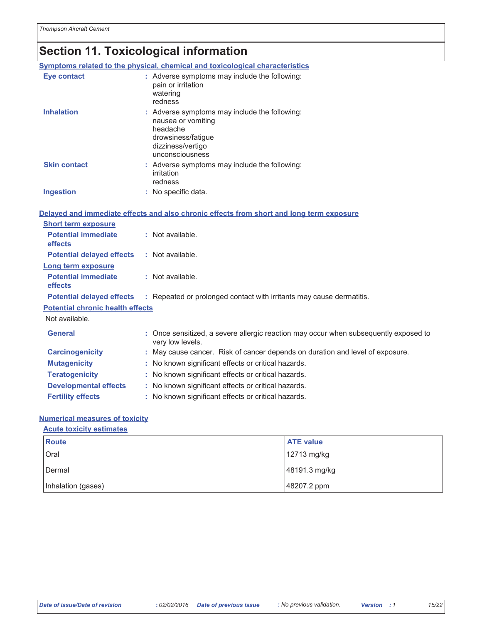### Section 11. Toxicological information

|                                              | Symptoms related to the physical, chemical and toxicological characteristics                                                                  |  |
|----------------------------------------------|-----------------------------------------------------------------------------------------------------------------------------------------------|--|
| Eye contact                                  | : Adverse symptoms may include the following:<br>pain or irritation<br>watering<br>redness                                                    |  |
| <b>Inhalation</b>                            | : Adverse symptoms may include the following:<br>nausea or vomiting<br>headache<br>drowsiness/fatigue<br>dizziness/vertigo<br>unconsciousness |  |
| <b>Skin contact</b>                          | : Adverse symptoms may include the following:<br>irritation<br>redness                                                                        |  |
| <b>Ingestion</b>                             | : No specific data.                                                                                                                           |  |
|                                              | Delayed and immediate effects and also chronic effects from short and long term exposure                                                      |  |
| <b>Short term exposure</b>                   |                                                                                                                                               |  |
| <b>Potential immediate</b><br>effects        | : Not available.                                                                                                                              |  |
| <b>Potential delayed effects</b>             | : Not available.                                                                                                                              |  |
| <b>Long term exposure</b>                    |                                                                                                                                               |  |
| <b>Potential immediate</b><br><b>effects</b> | : Not available.                                                                                                                              |  |
| <b>Potential delayed effects</b>             | : Repeated or prolonged contact with irritants may cause dermatitis.                                                                          |  |
| <b>Potential chronic health effects</b>      |                                                                                                                                               |  |
| Not available.                               |                                                                                                                                               |  |
| <b>General</b>                               | : Once sensitized, a severe allergic reaction may occur when subsequently exposed to<br>very low levels.                                      |  |
| <b>Carcinogenicity</b>                       | : May cause cancer. Risk of cancer depends on duration and level of exposure.                                                                 |  |
| <b>Mutagenicity</b>                          | : No known significant effects or critical hazards.                                                                                           |  |
| <b>Teratogenicity</b>                        | : No known significant effects or critical hazards.                                                                                           |  |
| <b>Developmental effects</b>                 | : No known significant effects or critical hazards.                                                                                           |  |
| <b>Fertility effects</b>                     | : No known significant effects or critical hazards.                                                                                           |  |

### **Numerical measures of toxicity**

#### **Acute toxicity estimates**

| <b>Route</b>       | <b>ATE</b> value |
|--------------------|------------------|
| Oral               | 12713 mg/kg      |
| Dermal             | 48191.3 mg/kg    |
| Inhalation (gases) | 48207.2 ppm      |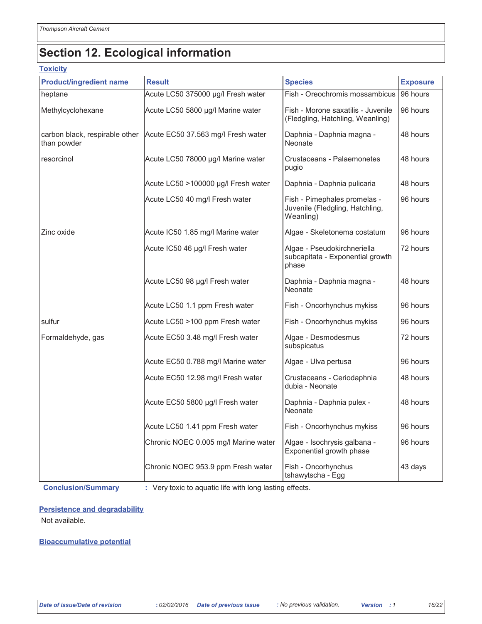### **Section 12. Ecological information**

#### **Toxicity**

| <b>Product/ingredient name</b>                | <b>Result</b>                                                              | <b>Species</b>                                                               | <b>Exposure</b> |
|-----------------------------------------------|----------------------------------------------------------------------------|------------------------------------------------------------------------------|-----------------|
| heptane                                       | Acute LC50 375000 µg/l Fresh water                                         | Fish - Oreochromis mossambicus                                               | 96 hours        |
| Methylcyclohexane                             | Acute LC50 5800 µg/l Marine water                                          | Fish - Morone saxatilis - Juvenile<br>(Fledgling, Hatchling, Weanling)       | 96 hours        |
| carbon black, respirable other<br>than powder | Acute EC50 37.563 mg/l Fresh water<br>Daphnia - Daphnia magna -<br>Neonate |                                                                              | 48 hours        |
| resorcinol                                    | Acute LC50 78000 µg/l Marine water                                         | Crustaceans - Palaemonetes<br>pugio                                          | 48 hours        |
|                                               | Acute LC50 >100000 µg/l Fresh water                                        | Daphnia - Daphnia pulicaria                                                  | 48 hours        |
|                                               | Acute LC50 40 mg/l Fresh water                                             | Fish - Pimephales promelas -<br>Juvenile (Fledgling, Hatchling,<br>Weanling) | 96 hours        |
| Zinc oxide                                    | Acute IC50 1.85 mg/l Marine water                                          | Algae - Skeletonema costatum                                                 | 96 hours        |
|                                               | Acute IC50 46 µg/l Fresh water                                             | Algae - Pseudokirchneriella<br>subcapitata - Exponential growth<br>phase     | 72 hours        |
|                                               | Acute LC50 98 µg/l Fresh water                                             | Daphnia - Daphnia magna -<br>Neonate                                         | 48 hours        |
|                                               | Acute LC50 1.1 ppm Fresh water                                             | Fish - Oncorhynchus mykiss                                                   | 96 hours        |
| sulfur                                        | Acute LC50 >100 ppm Fresh water                                            | Fish - Oncorhynchus mykiss                                                   | 96 hours        |
| Formaldehyde, gas                             | Acute EC50 3.48 mg/l Fresh water                                           | Algae - Desmodesmus<br>subspicatus                                           | 72 hours        |
|                                               | Acute EC50 0.788 mg/l Marine water                                         | Algae - Ulva pertusa                                                         | 96 hours        |
|                                               | Acute EC50 12.98 mg/l Fresh water                                          | Crustaceans - Ceriodaphnia<br>dubia - Neonate                                | 48 hours        |
|                                               | Acute EC50 5800 µg/l Fresh water                                           | Daphnia - Daphnia pulex -<br>Neonate                                         | 48 hours        |
|                                               | Acute LC50 1.41 ppm Fresh water                                            | Fish - Oncorhynchus mykiss                                                   | 96 hours        |
|                                               | Chronic NOEC 0.005 mg/l Marine water                                       | Algae - Isochrysis galbana -<br>Exponential growth phase                     | 96 hours        |
|                                               | Chronic NOEC 953.9 ppm Fresh water                                         | Fish - Oncorhynchus<br>tshawytscha - Egg                                     | 43 days         |

**Conclusion/Summary** 

: Very toxic to aquatic life with long lasting effects.

### **Persistence and degradability**

Not available.

#### **Bioaccumulative potential**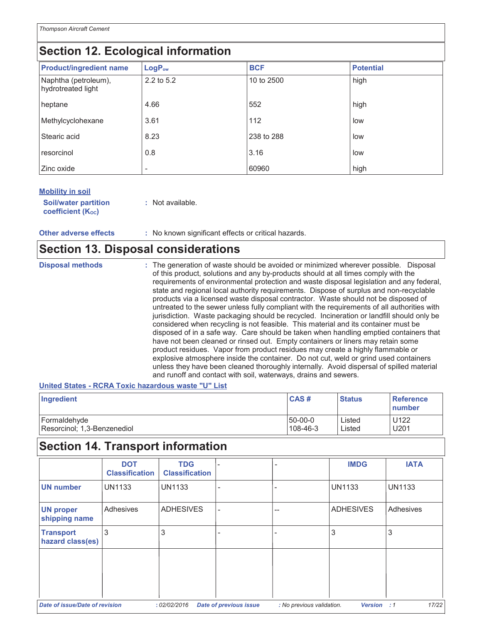### Section 12. Ecological information

| <b>Product/ingredient name</b>             | LogP <sub>ow</sub> | <b>BCF</b> | <b>Potential</b> |
|--------------------------------------------|--------------------|------------|------------------|
| Naphtha (petroleum),<br>hydrotreated light | 2.2 to 5.2         | 10 to 2500 | high             |
| heptane                                    | 4.66               | 552        | high             |
| Methylcyclohexane                          | 3.61               | 112        | low              |
| Stearic acid                               | 8.23               | 238 to 288 | low              |
| resorcinol                                 | 0.8                | 3.16       | low              |
| Zinc oxide                                 |                    | 60960      | high             |

#### **Mobility in soil**

| <b>Soil/water partition</b> | : Not available. |
|-----------------------------|------------------|
| <b>coefficient (Koc)</b>    |                  |

: No known significant effects or critical hazards. **Other adverse effects** 

### **Section 13. Disposal considerations**

| <b>Disposal methods</b> | : The generation of waste should be avoided or minimized wherever possible. Disposal<br>of this product, solutions and any by-products should at all times comply with the<br>requirements of environmental protection and waste disposal legislation and any federal,<br>state and regional local authority requirements. Dispose of surplus and non-recyclable<br>products via a licensed waste disposal contractor. Waste should not be disposed of<br>untreated to the sewer unless fully compliant with the requirements of all authorities with<br>jurisdiction. Waste packaging should be recycled. Incineration or landfill should only be<br>considered when recycling is not feasible. This material and its container must be<br>disposed of in a safe way. Care should be taken when handling emptied containers that |
|-------------------------|-----------------------------------------------------------------------------------------------------------------------------------------------------------------------------------------------------------------------------------------------------------------------------------------------------------------------------------------------------------------------------------------------------------------------------------------------------------------------------------------------------------------------------------------------------------------------------------------------------------------------------------------------------------------------------------------------------------------------------------------------------------------------------------------------------------------------------------|
|                         | have not been cleaned or rinsed out. Empty containers or liners may retain some<br>product residues. Vapor from product residues may create a highly flammable or<br>explosive atmosphere inside the container. Do not cut, weld or grind used containers<br>unless they have been cleaned thoroughly internally. Avoid dispersal of spilled material<br>and runoff and contact with soil, waterways, drains and sewers.                                                                                                                                                                                                                                                                                                                                                                                                          |

#### United States - RCRA Toxic hazardous waste "U" List

| Ingredient                  | <b>CAS#</b>    | <b>Status</b> | Reference<br>number |
|-----------------------------|----------------|---------------|---------------------|
| Formaldehyde                | $150 - 00 - 0$ | Listed        | U122                |
| Resorcinol; 1,3-Benzenediol | 108-46-3       | Listed        | U201                |

### Section 14. Transport information

|                                      | <b>DOT</b><br><b>Classification</b> | <b>TDG</b><br><b>Classification</b> |                               |                           | <b>IMDG</b>      | <b>IATA</b>   |
|--------------------------------------|-------------------------------------|-------------------------------------|-------------------------------|---------------------------|------------------|---------------|
| <b>UN number</b>                     | <b>UN1133</b>                       | <b>UN1133</b>                       |                               |                           | <b>UN1133</b>    | <b>UN1133</b> |
| <b>UN proper</b><br>shipping name    | Adhesives                           | <b>ADHESIVES</b>                    |                               |                           | <b>ADHESIVES</b> | Adhesives     |
| <b>Transport</b><br>hazard class(es) | 3                                   | 3                                   |                               |                           | 3                | 3             |
|                                      |                                     |                                     |                               |                           |                  |               |
|                                      |                                     |                                     |                               |                           |                  |               |
| Date of issue/Date of revision       |                                     | : 02/02/2016                        | <b>Date of previous issue</b> | : No previous validation. | Version : 1      | 17/22         |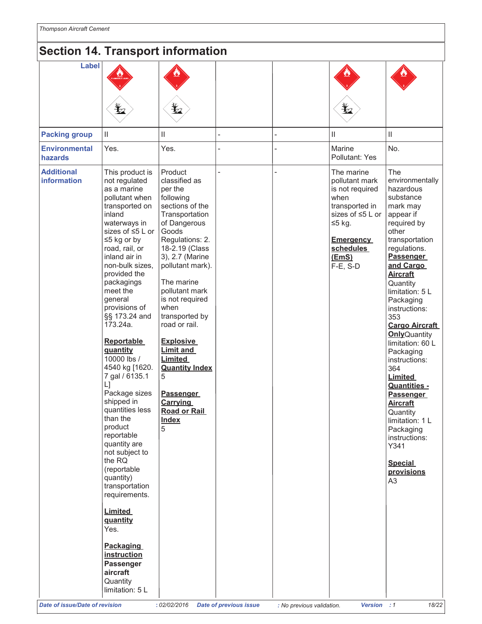### Section 14 Transport information

| Label<br>$\mathbf{Y}_{2}$<br>$\mathbf{F}$<br>Ł<br>$\mathbf{II}$<br><b>Packing group</b><br>$\vert\vert$<br>Ш<br>$\mathbf{H}$<br>Yes.<br>No.<br><b>Environmental</b><br>Yes.<br>Marine<br>Pollutant: Yes<br>hazards<br><b>Additional</b><br>The<br>This product is<br>Product<br>The marine<br><b>information</b><br>classified as<br>not regulated<br>pollutant mark<br>as a marine<br>per the<br>is not required<br>hazardous<br>pollutant when<br>when<br>substance<br>following<br>sections of the<br>transported in<br>transported on<br>mark may<br>inland<br>sizes of ≤5 L or<br>Transportation<br>appear if<br>waterways in<br>required by<br>of Dangerous<br>$≤5$ kg.<br>sizes of ≤5 L or<br>Goods<br>other<br>$\leq$ 5 kg or by<br>Regulations: 2.<br><b>Emergency</b><br>road, rail, or<br>regulations.<br>18-2.19 (Class<br>schedules<br>inland air in<br><b>Passenger</b><br>3), 2.7 (Marine<br>(EmS)<br>non-bulk sizes.<br>pollutant mark).<br>and Cargo<br>F-E, S-D<br>provided the<br><b>Aircraft</b><br>The marine<br>packagings<br>Quantity<br>meet the<br>pollutant mark<br>is not required<br>general<br>Packaging<br>provisions of<br>when<br>instructions:<br>§§ 173.24 and<br>transported by<br>353<br>173.24a.<br>road or rail.<br><b>Reportable</b><br><b>Explosive</b><br><b>Limit and</b><br>quantity<br>Packaging<br>10000 lbs /<br>Limited<br>instructions:<br>4540 kg [1620.<br><b>Quantity Index</b><br>364<br>7 gal / 6135.1<br>5<br><b>Limited</b><br>$\lfloor \cdot \rfloor$<br>Package sizes<br><b>Passenger</b><br><b>Passenger</b><br>shipped in<br><b>Carrying</b><br><b>Aircraft</b><br>quantities less<br><b>Road or Rail</b><br>Quantity<br>than the<br><b>Index</b><br>product<br>5<br>Packaging<br>reportable<br>instructions:<br>quantity are<br>Y341 | <b>JECHUIL 14. TIANSPULLINUMINANUM</b> |                |  |  |                                                                                                                                                                     |
|--------------------------------------------------------------------------------------------------------------------------------------------------------------------------------------------------------------------------------------------------------------------------------------------------------------------------------------------------------------------------------------------------------------------------------------------------------------------------------------------------------------------------------------------------------------------------------------------------------------------------------------------------------------------------------------------------------------------------------------------------------------------------------------------------------------------------------------------------------------------------------------------------------------------------------------------------------------------------------------------------------------------------------------------------------------------------------------------------------------------------------------------------------------------------------------------------------------------------------------------------------------------------------------------------------------------------------------------------------------------------------------------------------------------------------------------------------------------------------------------------------------------------------------------------------------------------------------------------------------------------------------------------------------------------------------------------------------------------------------------------------------------------------------------------|----------------------------------------|----------------|--|--|---------------------------------------------------------------------------------------------------------------------------------------------------------------------|
|                                                                                                                                                                                                                                                                                                                                                                                                                                                                                                                                                                                                                                                                                                                                                                                                                                                                                                                                                                                                                                                                                                                                                                                                                                                                                                                                                                                                                                                                                                                                                                                                                                                                                                                                                                                                  |                                        |                |  |  |                                                                                                                                                                     |
|                                                                                                                                                                                                                                                                                                                                                                                                                                                                                                                                                                                                                                                                                                                                                                                                                                                                                                                                                                                                                                                                                                                                                                                                                                                                                                                                                                                                                                                                                                                                                                                                                                                                                                                                                                                                  |                                        |                |  |  |                                                                                                                                                                     |
|                                                                                                                                                                                                                                                                                                                                                                                                                                                                                                                                                                                                                                                                                                                                                                                                                                                                                                                                                                                                                                                                                                                                                                                                                                                                                                                                                                                                                                                                                                                                                                                                                                                                                                                                                                                                  |                                        |                |  |  |                                                                                                                                                                     |
| the RQ<br><b>Special</b><br>(reportable<br>provisions<br>quantity)<br>A3<br>transportation<br>requirements.<br><b>Limited</b><br>quantity<br>Yes.<br><b>Packaging</b><br>instruction<br>Passenger<br>aircraft<br>Quantity<br>limitation: 5 L                                                                                                                                                                                                                                                                                                                                                                                                                                                                                                                                                                                                                                                                                                                                                                                                                                                                                                                                                                                                                                                                                                                                                                                                                                                                                                                                                                                                                                                                                                                                                     |                                        | not subject to |  |  | environmentally<br>transportation<br>limitation: 5 L<br><b>Cargo Aircraft</b><br><b>Only</b> Quantity<br>limitation: 60 L<br><b>Quantities -</b><br>limitation: 1 L |
| <b>Date of issue/Date of revision</b><br>: 02/02/2016<br>Version : 1<br><b>Date of previous issue</b><br>: No previous validation.                                                                                                                                                                                                                                                                                                                                                                                                                                                                                                                                                                                                                                                                                                                                                                                                                                                                                                                                                                                                                                                                                                                                                                                                                                                                                                                                                                                                                                                                                                                                                                                                                                                               |                                        |                |  |  | 18/22                                                                                                                                                               |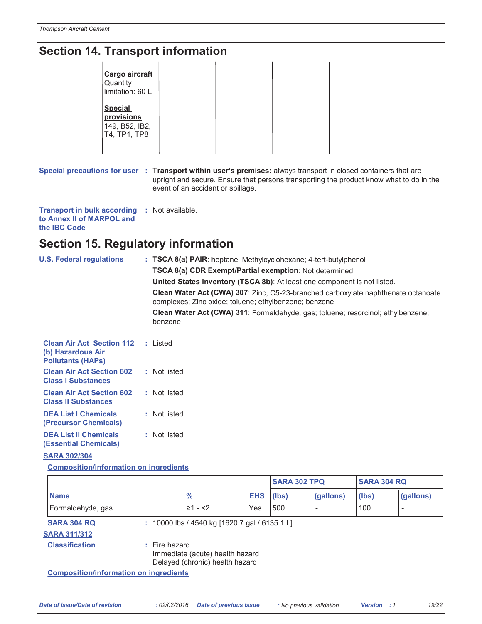### **Section 14. Transport information** Cargo aircraft Quantity limitation: 60 L **Special**

provisions 149, B52, IB2, T4, TP1, TP8

Special precautions for user : Transport within user's premises: always transport in closed containers that are upright and secure. Ensure that persons transporting the product know what to do in the event of an accident or spillage.

Transport in bulk according : Not available. to Annex II of MARPOL and the IBC Code

### **Section 15. Regulatory information**

| <b>U.S. Federal regulations</b>                                                   | : TSCA 8(a) PAIR: heptane; Methylcyclohexane; 4-tert-butylphenol                                                                                  |  |  |  |  |
|-----------------------------------------------------------------------------------|---------------------------------------------------------------------------------------------------------------------------------------------------|--|--|--|--|
|                                                                                   | <b>TSCA 8(a) CDR Exempt/Partial exemption: Not determined</b>                                                                                     |  |  |  |  |
|                                                                                   | <b>United States inventory (TSCA 8b):</b> At least one component is not listed.                                                                   |  |  |  |  |
|                                                                                   | <b>Clean Water Act (CWA) 307: Zinc, C5-23-branched carboxylate naphthenate octanoate</b><br>complexes; Zinc oxide; toluene; ethylbenzene; benzene |  |  |  |  |
|                                                                                   | Clean Water Act (CWA) 311: Formaldehyde, gas; toluene; resorcinol; ethylbenzene;<br>benzene                                                       |  |  |  |  |
| <b>Clean Air Act Section 112</b><br>(b) Hazardous Air<br><b>Pollutants (HAPs)</b> | : Listed                                                                                                                                          |  |  |  |  |
| <b>Clean Air Act Section 602</b><br><b>Class I Substances</b>                     | : Not listed                                                                                                                                      |  |  |  |  |
| <b>Clean Air Act Section 602</b><br><b>Class II Substances</b>                    | : Not listed                                                                                                                                      |  |  |  |  |
| <b>DEA List I Chemicals</b><br>(Precursor Chemicals)                              | : Not listed                                                                                                                                      |  |  |  |  |
| <b>DEA List II Chemicals</b><br>(Essential Chemicals)                             | : Not listed                                                                                                                                      |  |  |  |  |

#### **SARA 302/304**

**Composition/information on ingredients** 

|                                           |                                                                                       |            | <b>SARA 302 TPQ</b> |           | <b>SARA 304 RQ</b> |           |
|-------------------------------------------|---------------------------------------------------------------------------------------|------------|---------------------|-----------|--------------------|-----------|
| <b>Name</b>                               | $\%$                                                                                  | <b>EHS</b> | (Ibs)               | (gallons) | (lbs)              | (gallons) |
| Formaldehyde, gas                         | $\geq 1 - 2$                                                                          | Yes.       | 500                 |           | 100                |           |
| <b>SARA 304 RQ</b><br><b>SARA 311/312</b> | : 10000 lbs / 4540 kg [1620.7 gal / 6135.1 L]                                         |            |                     |           |                    |           |
| <b>Classification</b>                     | $:$ Fire hazard<br>Immediate (acute) health hazard<br>Delayed (chronic) health hazard |            |                     |           |                    |           |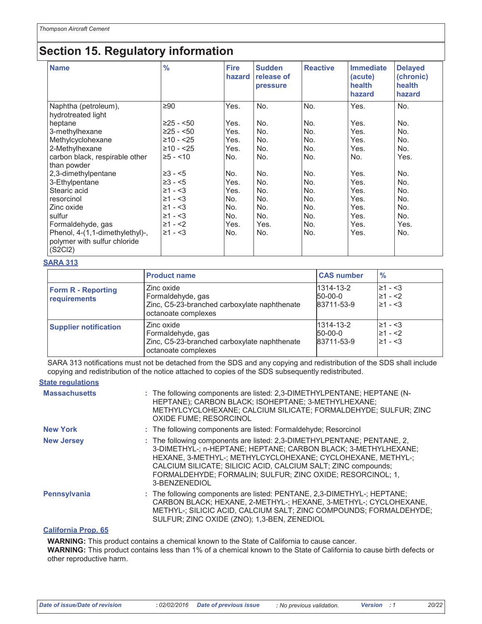### **Section 15. Regulatory information**

| <b>Name</b>                                   | $\frac{9}{6}$ | <b>Fire</b><br>hazard | <b>Sudden</b><br>release of<br>pressure | <b>Reactive</b> | <b>Immediate</b><br>(acute)<br>health<br>hazard | <b>Delayed</b><br>(chronic)<br>health<br>hazard |
|-----------------------------------------------|---------------|-----------------------|-----------------------------------------|-----------------|-------------------------------------------------|-------------------------------------------------|
| Naphtha (petroleum),<br>hydrotreated light    | $\geq 90$     | Yes.                  | No.                                     | No.             | Yes.                                            | No.                                             |
| heptane                                       | $≥25 - 50$    | Yes.                  | No.                                     | No.             | Yes.                                            | No.                                             |
| 3-methylhexane                                | $≥25 - 50$    | Yes.                  | No.                                     | No.             | Yes.                                            | No.                                             |
| Methylcyclohexane                             | $≥10 - 25$    | Yes.                  | No.                                     | No.             | Yes.                                            | No.                                             |
| 2-Methylhexane                                | $≥10 - 25$    | Yes.                  | No.                                     | No.             | Yes.                                            | No.                                             |
| carbon black, respirable other<br>than powder | $\geq 5 - 10$ | No.                   | No.                                     | No.             | No.                                             | Yes.                                            |
| 2,3-dimethylpentane                           | $≥3 - 5$      | No.                   | No.                                     | No.             | Yes.                                            | No.                                             |
| 3-Ethylpentane                                | $\geq 3 - 5$  | Yes.                  | No.                                     | No.             | Yes.                                            | No.                                             |
| Stearic acid                                  | $\geq 1 - 3$  | Yes.                  | No.                                     | No.             | Yes.                                            | No.                                             |
| resorcinol                                    | $\geq 1 - 3$  | No.                   | No.                                     | No.             | Yes.                                            | No.                                             |
| Zinc oxide                                    | $\geq 1 - 3$  | No.                   | No.                                     | No.             | Yes.                                            | No.                                             |
| sulfur                                        | $\geq 1 - 3$  | No.                   | No.                                     | No.             | Yes.                                            | No.                                             |
| Formaldehyde, gas                             | $\geq 1 - 2$  | Yes.                  | Yes.                                    | No.             | Yes.                                            | Yes.                                            |
| Phenol, 4-(1,1-dimethylethyl)-,               | $\geq 1 - 3$  | No.                   | No.                                     | No.             | Yes.                                            | No.                                             |
| polymer with sulfur chloride<br>(S2Cl2)       |               |                       |                                         |                 |                                                 |                                                 |

#### **SARA 313**

|                                           | <b>Product name</b>                                                                                    | <b>CAS number</b>                  | $\frac{9}{6}$                                |
|-------------------------------------------|--------------------------------------------------------------------------------------------------------|------------------------------------|----------------------------------------------|
| <b>Form R - Reporting</b><br>requirements | Zinc oxide<br>Formaldehyde, gas<br>Zinc, C5-23-branched carboxylate naphthenate<br>octanoate complexes | 1314-13-2<br>50-00-0<br>83711-53-9 | $\geq 1 - 3$<br>$\geq 1 - 2$<br>$\geq 1 - 3$ |
| <b>Supplier notification</b>              | Zinc oxide<br>Formaldehyde, gas<br>Zinc, C5-23-branched carboxylate naphthenate<br>octanoate complexes | 1314-13-2<br>50-00-0<br>83711-53-9 | $\geq 1 - 3$<br>$\geq 1 - 2$<br>$\geq 1 - 3$ |

SARA 313 notifications must not be detached from the SDS and any copying and redistribution of the SDS shall include copying and redistribution of the notice attached to copies of the SDS subsequently redistributed.

#### **State regulations**

| <b>Massachusetts</b> | : The following components are listed: 2,3-DIMETHYLPENTANE; HEPTANE (N-<br>HEPTANE); CARBON BLACK; ISOHEPTANE; 3-METHYLHEXANE;<br>METHYLCYCLOHEXANE; CALCIUM SILICATE; FORMALDEHYDE; SULFUR; ZINC<br><b>OXIDE FUME; RESORCINOL</b>                                                                                                                       |
|----------------------|----------------------------------------------------------------------------------------------------------------------------------------------------------------------------------------------------------------------------------------------------------------------------------------------------------------------------------------------------------|
| <b>New York</b>      | : The following components are listed: Formaldehyde; Resorcinol                                                                                                                                                                                                                                                                                          |
| <b>New Jersey</b>    | : The following components are listed: 2,3-DIMETHYLPENTANE; PENTANE, 2,<br>3-DIMETHYL-; n-HEPTANE; HEPTANE; CARBON BLACK; 3-METHYLHEXANE;<br>HEXANE, 3-METHYL-; METHYLCYCLOHEXANE; CYCLOHEXANE, METHYL-;<br>CALCIUM SILICATE; SILICIC ACID, CALCIUM SALT; ZINC compounds;<br>FORMALDEHYDE; FORMALIN; SULFUR; ZINC OXIDE; RESORCINOL; 1,<br>3-BENZENEDIOL |
| Pennsylvania         | : The following components are listed: PENTANE, 2,3-DIMETHYL-; HEPTANE;<br>CARBON BLACK; HEXANE, 2-METHYL-; HEXANE, 3-METHYL-; CYCLOHEXANE,<br>METHYL-; SILICIC ACID, CALCIUM SALT; ZINC COMPOUNDS; FORMALDEHYDE;<br>SULFUR; ZINC OXIDE (ZNO); 1,3-BEN, ZENEDIOL                                                                                         |
| California Dron, CE  |                                                                                                                                                                                                                                                                                                                                                          |

#### alifornia Prop. 65

WARNING: This product contains a chemical known to the State of California to cause cancer.

WARNING: This product contains less than 1% of a chemical known to the State of California to cause birth defects or other reproductive harm.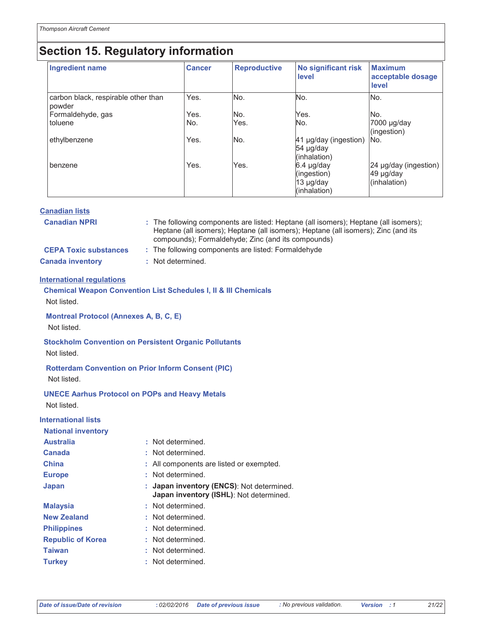## Section 15. Regulatory information

| <b>Ingredient name</b>                        | <b>Cancer</b> | <b>Reproductive</b> | <b>No significant risk</b><br>level                    | <b>Maximum</b><br>acceptable dosage<br>level       |
|-----------------------------------------------|---------------|---------------------|--------------------------------------------------------|----------------------------------------------------|
| carbon black, respirable other than<br>powder | Yes.          | No.                 | No.                                                    | IN <sub>o</sub> .                                  |
| Formaldehyde, gas                             | Yes.          | No.                 | Yes.                                                   | INo.                                               |
| toluene                                       | No.           | Yes.                | No.                                                    | 7000 µg/day<br>(ingestion)                         |
| ethylbenzene                                  | Yes.          | No.                 | 41 µg/day (ingestion)<br>54 µg/day<br>(inhalation)     | No.                                                |
| benzene                                       | Yes.          | Yes.                | 6.4 µg/day<br>(ingestion)<br>13 µg/day<br>(inhalation) | 24 µg/day (ingestion)<br>49 µg/day<br>(inhalation) |

| <b>Canadian lists</b> |  |  |
|-----------------------|--|--|
|                       |  |  |

| <b>Canadian NPRI</b>         | : The following components are listed: Heptane (all isomers); Heptane (all isomers);<br>Heptane (all isomers); Heptane (all isomers); Heptane (all isomers); Zinc (and its<br>compounds); Formaldehyde; Zinc (and its compounds) |
|------------------------------|----------------------------------------------------------------------------------------------------------------------------------------------------------------------------------------------------------------------------------|
| <b>CEPA Toxic substances</b> | : The following components are listed: Formaldehyde                                                                                                                                                                              |
| <b>Canada inventory</b>      | : Not determined.                                                                                                                                                                                                                |

#### **International regulations**

| <b>Chemical Weapon Convention List Schedules I, II &amp; III Chemicals</b><br>Not listed. |  |                                                                                    |  |  |  |  |
|-------------------------------------------------------------------------------------------|--|------------------------------------------------------------------------------------|--|--|--|--|
| <b>Montreal Protocol (Annexes A, B, C, E)</b><br>Not listed.                              |  |                                                                                    |  |  |  |  |
| <b>Stockholm Convention on Persistent Organic Pollutants</b><br>Not listed.               |  |                                                                                    |  |  |  |  |
| <b>Rotterdam Convention on Prior Inform Consent (PIC)</b><br>Not listed.                  |  |                                                                                    |  |  |  |  |
| <b>UNECE Aarhus Protocol on POPs and Heavy Metals</b><br>Not listed.                      |  |                                                                                    |  |  |  |  |
| <b>International lists</b>                                                                |  |                                                                                    |  |  |  |  |
| <b>National inventory</b>                                                                 |  |                                                                                    |  |  |  |  |
| <b>Australia</b>                                                                          |  | : Not determined.                                                                  |  |  |  |  |
| Canada                                                                                    |  | : Not determined.                                                                  |  |  |  |  |
| <b>China</b>                                                                              |  | : All components are listed or exempted.                                           |  |  |  |  |
| <b>Europe</b>                                                                             |  | : Not determined.                                                                  |  |  |  |  |
| Japan                                                                                     |  | Japan inventory (ENCS): Not determined.<br>Japan inventory (ISHL): Not determined. |  |  |  |  |
| <b>Malaysia</b>                                                                           |  | : Not determined.                                                                  |  |  |  |  |
| <b>New Zealand</b>                                                                        |  | : Not determined.                                                                  |  |  |  |  |
| <b>Philippines</b>                                                                        |  | : Not determined.                                                                  |  |  |  |  |
| <b>Republic of Korea</b>                                                                  |  | : Not determined.                                                                  |  |  |  |  |
| <b>Taiwan</b>                                                                             |  | : Not determined.                                                                  |  |  |  |  |
| <b>Turkey</b>                                                                             |  | : Not determined.                                                                  |  |  |  |  |